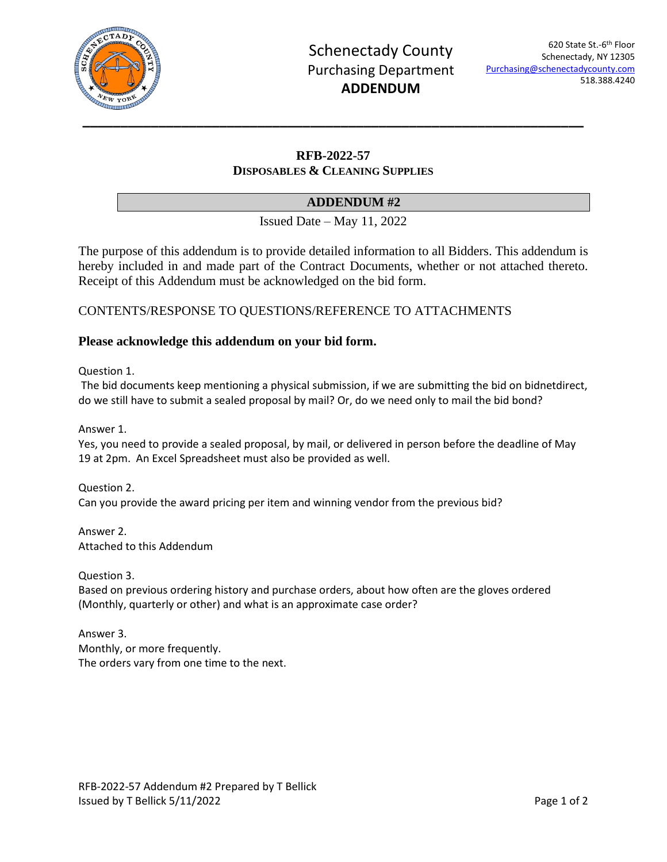

## **RFB-2022-57 DISPOSABLES & CLEANING SUPPLIES**

## **ADDENDUM #2**

Issued Date – May 11, 2022

The purpose of this addendum is to provide detailed information to all Bidders. This addendum is hereby included in and made part of the Contract Documents, whether or not attached thereto. Receipt of this Addendum must be acknowledged on the bid form.

CONTENTS/RESPONSE TO QUESTIONS/REFERENCE TO ATTACHMENTS

### **Please acknowledge this addendum on your bid form.**

Question 1.

The bid documents keep mentioning a physical submission, if we are submitting the bid on bidnetdirect, do we still have to submit a sealed proposal by mail? Or, do we need only to mail the bid bond?

Answer 1.

Yes, you need to provide a sealed proposal, by mail, or delivered in person before the deadline of May 19 at 2pm. An Excel Spreadsheet must also be provided as well.

Question 2. Can you provide the award pricing per item and winning vendor from the previous bid?

Answer 2. Attached to this Addendum

Question 3.

Based on previous ordering history and purchase orders, about how often are the gloves ordered (Monthly, quarterly or other) and what is an approximate case order?

Answer 3. Monthly, or more frequently. The orders vary from one time to the next.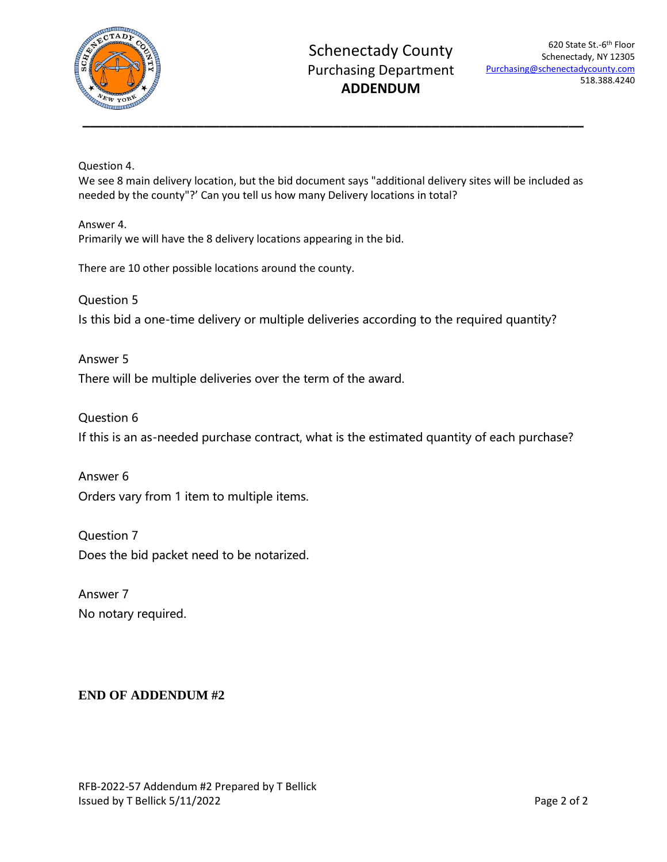

Question 4.

We see 8 main delivery location, but the bid document says "additional delivery sites will be included as needed by the county"?' Can you tell us how many Delivery locations in total?

Answer 4. Primarily we will have the 8 delivery locations appearing in the bid.

There are 10 other possible locations around the county.

Question 5 Is this bid a one-time delivery or multiple deliveries according to the required quantity?

Answer 5 There will be multiple deliveries over the term of the award.

Question 6 If this is an as-needed purchase contract, what is the estimated quantity of each purchase?

Answer 6 Orders vary from 1 item to multiple items.

Question 7 Does the bid packet need to be notarized.

Answer 7 No notary required.

# **END OF ADDENDUM #2**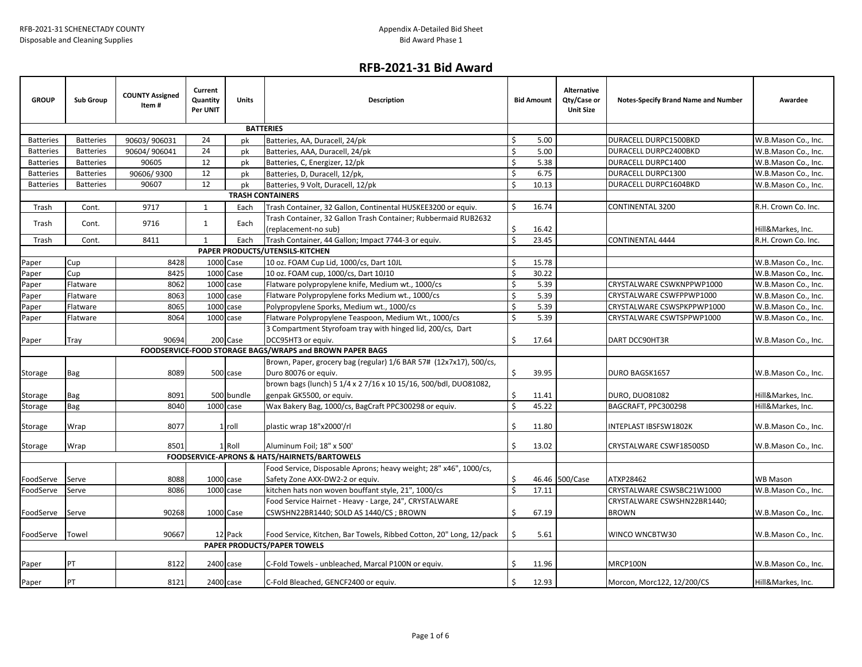## **RFB-2021-31 Bid Award**

| <b>GROUP</b>     | <b>Sub Group</b> | <b>COUNTY Assigned</b><br>Item# | Current<br>Quantity<br>Per UNIT | <b>Units</b>            | <b>Description</b>                                                  |             | <b>Bid Amount</b> | Alternative<br>Qty/Case or<br><b>Unit Size</b> | Notes-Specify Brand Name and Number | Awardee             |
|------------------|------------------|---------------------------------|---------------------------------|-------------------------|---------------------------------------------------------------------|-------------|-------------------|------------------------------------------------|-------------------------------------|---------------------|
|                  |                  |                                 |                                 |                         | <b>BATTERIES</b>                                                    |             |                   |                                                |                                     |                     |
| <b>Batteries</b> | <b>Batteries</b> | 90603/906031                    | 24                              | pk                      | Batteries, AA, Duracell, 24/pk                                      | Ś.          | 5.00              |                                                | DURACELL DURPC1500BKD               | W.B.Mason Co., Inc. |
| <b>Batteries</b> | <b>Batteries</b> | 90604/906041                    | 24                              | pk                      | Batteries, AAA, Duracell, 24/pk                                     | Ś           | 5.00              |                                                | DURACELL DURPC2400BKD               | W.B.Mason Co., Inc. |
| <b>Batteries</b> | <b>Batteries</b> | 90605                           | 12                              | pk                      | Batteries, C, Energizer, 12/pk                                      | Ś           | 5.38              |                                                | DURACELL DURPC1400                  | W.B.Mason Co., Inc. |
| <b>Batteries</b> | <b>Batteries</b> | 90606/9300                      | 12                              | pk                      | Batteries, D, Duracell, 12/pk,                                      | Ś           | 6.75              |                                                | DURACELL DURPC1300                  | W.B.Mason Co., Inc. |
| <b>Batteries</b> | <b>Batteries</b> | 90607                           | 12                              | pk                      | Batteries, 9 Volt, Duracell, 12/pk                                  | Ś.          | 10.13             |                                                | DURACELL DURPC1604BKD               | W.B.Mason Co., Inc. |
|                  |                  |                                 |                                 | <b>TRASH CONTAINERS</b> |                                                                     |             |                   |                                                |                                     |                     |
| Trash            | Cont.            | 9717                            | $\mathbf{1}$                    | Each                    | Trash Container, 32 Gallon, Continental HUSKEE3200 or equiv.        | Ś.          | 16.74             |                                                | <b>CONTINENTAL 3200</b>             | R.H. Crown Co. Inc. |
|                  |                  |                                 |                                 |                         | Trash Container, 32 Gallon Trash Container; Rubbermaid RUB2632      |             |                   |                                                |                                     |                     |
| Trash            | Cont.            | 9716                            | $\mathbf{1}$                    | Each                    | (replacement-no sub)                                                | \$          | 16.42             |                                                |                                     | Hill&Markes, Inc.   |
| Trash            | Cont.            | 8411                            | $\mathbf{1}$                    | Each                    | Trash Container, 44 Gallon; Impact 7744-3 or equiv.                 | $\zeta$     | 23.45             |                                                | <b>CONTINENTAL 4444</b>             | R.H. Crown Co. Inc. |
|                  |                  |                                 |                                 |                         | PAPER PRODUCTS/UTENSILS-KITCHEN                                     |             |                   |                                                |                                     |                     |
| Paper            | Cup              | 8428                            |                                 | 1000 Case               | 10 oz. FOAM Cup Lid, 1000/cs, Dart 10JL                             | Ś           | 15.78             |                                                |                                     | W.B.Mason Co., Inc. |
| Paper            | Cup              | 8425                            |                                 | 1000 Case               | 10 oz. FOAM cup, 1000/cs, Dart 10J10                                | $\varsigma$ | 30.22             |                                                |                                     | W.B.Mason Co., Inc. |
| Paper            | Flatware         | 8062                            |                                 | 1000 case               | Flatware polypropylene knife, Medium wt., 1000/cs                   | Ś.          | 5.39              |                                                | CRYSTALWARE CSWKNPPWP1000           | W.B.Mason Co., Inc. |
| Paper            | Flatware         | 8063                            |                                 | 1000 case               | Flatware Polypropylene forks Medium wt., 1000/cs                    | Ś           | 5.39              |                                                | CRYSTALWARE CSWFPPWP1000            | W.B.Mason Co., Inc. |
| Paper            | Flatware         | 8065                            | 1000 case                       |                         | Polypropylene Sporks, Medium wt., 1000/cs                           | Ś.          | 5.39              |                                                | CRYSTALWARE CSWSPKPPWP1000          | W.B.Mason Co., Inc. |
| Paper            | Flatware         | 8064                            | 1000 case                       |                         | Flatware Polypropylene Teaspoon, Medium Wt., 1000/cs                | Ś.          | 5.39              |                                                | CRYSTALWARE CSWTSPPWP1000           | W.B.Mason Co., Inc. |
|                  |                  |                                 |                                 |                         | 3 Compartment Styrofoam tray with hinged lid, 200/cs, Dart          |             |                   |                                                |                                     |                     |
| Paper            | Tray             | 90694                           |                                 | 200 Case                | DCC95HT3 or equiv.                                                  | Ś.          | 17.64             |                                                | DART DCC90HT3R                      | W.B.Mason Co., Inc. |
|                  |                  |                                 |                                 |                         | FOODSERVICE-FOOD STORAGE BAGS/WRAPS and BROWN PAPER BAGS            |             |                   |                                                |                                     |                     |
|                  |                  |                                 |                                 |                         | Brown, Paper, grocery bag (regular) 1/6 BAR 57# (12x7x17), 500/cs,  |             |                   |                                                |                                     |                     |
| Storage          | Bag              | 8089                            |                                 | 500 case                | Duro 80076 or equiv.                                                | \$          | 39.95             |                                                | DURO BAGSK1657                      | W.B.Mason Co., Inc. |
|                  |                  |                                 |                                 |                         | brown bags (lunch) 5 1/4 x 2 7/16 x 10 15/16, 500/bdl, DUO81082,    |             |                   |                                                |                                     |                     |
| Storage          | Bag              | 8091                            |                                 | 500 bundle              | genpak GK5500, or equiv.                                            | Ś.          | 11.41             |                                                | <b>DURO, DUO81082</b>               | Hill&Markes, Inc.   |
| Storage          | <b>Bag</b>       | 8040                            | 1000 case                       |                         | Wax Bakery Bag, 1000/cs, BagCraft PPC300298 or equiv.               | Ŝ.          | 45.22             |                                                | BAGCRAFT, PPC300298                 | Hill&Markes, Inc.   |
|                  |                  |                                 |                                 |                         |                                                                     | \$          |                   |                                                |                                     |                     |
| Storage          | Wrap             | 8077                            |                                 | 1 roll                  | plastic wrap 18"x2000'/rl                                           |             | 11.80             |                                                | INTEPLAST IBSFSW1802K               | W.B.Mason Co., Inc. |
| Storage          | Wrap             | 8501                            |                                 | 1 Roll                  | Aluminum Foil; 18" x 500'                                           | Ś.          | 13.02             |                                                | CRYSTALWARE CSWF18500SD             | W.B.Mason Co., Inc. |
|                  |                  |                                 |                                 |                         | <b>FOODSERVICE-APRONS &amp; HATS/HAIRNETS/BARTOWELS</b>             |             |                   |                                                |                                     |                     |
|                  |                  |                                 |                                 |                         | Food Service, Disposable Aprons; heavy weight; 28" x46", 1000/cs,   |             |                   |                                                |                                     |                     |
| FoodServe        | Serve            | 8088                            | 1000 case                       |                         | Safety Zone AXX-DW2-2 or equiv.                                     | \$          |                   | 46.46 500/Case                                 | ATXP28462                           | <b>WB Mason</b>     |
| FoodServe        | Serve            | 8086                            | 1000 case                       |                         | kitchen hats non woven bouffant style, 21", 1000/cs                 | Ś.          | 17.11             |                                                | CRYSTALWARE CSWSBC21W1000           | W.B.Mason Co., Inc. |
|                  |                  |                                 |                                 |                         | Food Service Hairnet - Heavy - Large, 24", CRYSTALWARE              |             |                   |                                                | CRYSTALWARE CSWSHN22BR1440;         |                     |
| FoodServe        | Serve            | 90268                           |                                 | 1000 Case               | CSWSHN22BR1440; SOLD AS 1440/CS; BROWN                              | Ś.          | 67.19             |                                                | <b>BROWN</b>                        | W.B.Mason Co., Inc. |
|                  |                  |                                 |                                 |                         |                                                                     |             |                   |                                                |                                     |                     |
| FoodServe        | Towel            | 90667                           |                                 | 12 Pack                 | Food Service, Kitchen, Bar Towels, Ribbed Cotton, 20" Long, 12/pack | \$          | 5.61              |                                                | WINCO WNCBTW30                      | W.B.Mason Co., Inc. |
|                  |                  |                                 |                                 |                         | <b>PAPER PRODUCTS/PAPER TOWELS</b>                                  |             |                   |                                                |                                     |                     |
| Paper            | <b>PT</b>        | 8122                            | 2400 case                       |                         | C-Fold Towels - unbleached, Marcal P100N or equiv.                  | Ś.          | 11.96             |                                                | MRCP100N                            | W.B.Mason Co., Inc. |
|                  |                  |                                 |                                 |                         |                                                                     |             |                   |                                                |                                     |                     |
| Paper            | PT               | 8121                            | 2400 case                       |                         | C-Fold Bleached, GENCF2400 or equiv.                                | \$          | 12.93             |                                                | Morcon, Morc122, 12/200/CS          | Hill&Markes, Inc.   |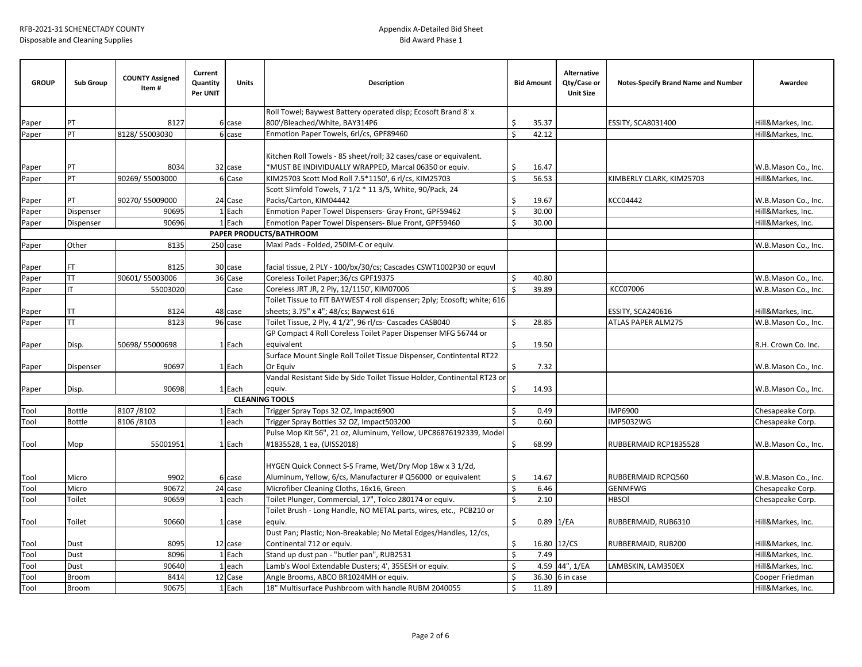| <b>GROUP</b> | <b>Sub Group</b> | <b>COUNTY Assigned</b><br>Item# | Current<br>Quantity<br>Per UNIT | <b>Units</b>          | <b>Description</b>                                                                                                         |                    | <b>Bid Amount</b> | <b>Alternative</b><br>Qty/Case or<br><b>Unit Size</b> | <b>Notes-Specify Brand Name and Number</b> | Awardee                                  |
|--------------|------------------|---------------------------------|---------------------------------|-----------------------|----------------------------------------------------------------------------------------------------------------------------|--------------------|-------------------|-------------------------------------------------------|--------------------------------------------|------------------------------------------|
|              |                  |                                 |                                 |                       | Roll Towel; Baywest Battery operated disp; Ecosoft Brand 8' x                                                              |                    |                   |                                                       |                                            |                                          |
| Paper        | PT               | 8127                            |                                 | 6 case                | 800'/Bleached/White, BAY314P6                                                                                              | Ś                  | 35.37             |                                                       | <b>ESSITY, SCA8031400</b>                  | Hill&Markes, Inc.                        |
| Paper        | PT               | 8128/55003030                   |                                 | 6 case                | Enmotion Paper Towels, 6rl/cs, GPF89460                                                                                    | \$                 | 42.12             |                                                       |                                            | Hill&Markes, Inc.                        |
|              | PT               | 8034                            |                                 | 32 case               | Kitchen Roll Towels - 85 sheet/roll; 32 cases/case or equivalent.<br>*MUST BE INDIVIDUALLY WRAPPED, Marcal 06350 or equiv. | \$                 | 16.47             |                                                       |                                            |                                          |
| Paper        | PT               | 90269/55003000                  |                                 | 6 Case                | KIM25703 Scott Mod Roll 7.5*1150', 6 rl/cs, KIM25703                                                                       | $\mathsf{\hat{S}}$ | 56.53             |                                                       | KIMBERLY CLARK, KIM25703                   | W.B.Mason Co., Inc.<br>Hill&Markes, Inc. |
| Paper        |                  |                                 |                                 |                       | Scott Slimfold Towels, 7 1/2 * 11 3/5, White, 90/Pack, 24                                                                  |                    |                   |                                                       |                                            |                                          |
| Paper        | PT               | 90270/55009000                  |                                 | 24 Case               | Packs/Carton, KIM04442                                                                                                     | Ś                  | 19.67             |                                                       | KCC04442                                   | W.B.Mason Co., Inc.                      |
| Paper        | Dispenser        | 90695                           |                                 | 1 Each                | Enmotion Paper Towel Dispensers- Gray Front, GPF59462                                                                      | \$                 | 30.00             |                                                       |                                            | Hill&Markes, Inc.                        |
| Paper        | Dispenser        | 90696                           |                                 | 1 Each                | Enmotion Paper Towel Dispensers- Blue Front, GPF59460                                                                      | Ś                  | 30.00             |                                                       |                                            | Hill&Markes, Inc.                        |
|              |                  |                                 |                                 |                       | PAPER PRODUCTS/BATHROOM                                                                                                    |                    |                   |                                                       |                                            |                                          |
| Paper        | Other            | 8135                            |                                 | 250 case              | Maxi Pads - Folded, 250IM-C or equiv.                                                                                      |                    |                   |                                                       |                                            | W.B.Mason Co., Inc.                      |
| Paper        | FT.              | 8125                            |                                 | 30 case               | facial tissue, 2 PLY - 100/bx/30/cs; Cascades CSWT1002P30 or equvl                                                         |                    |                   |                                                       |                                            |                                          |
| Paper        | <b>TT</b>        | 90601/55003006                  |                                 | 36 Case               | Coreless Toilet Paper; 36/cs GPF19375                                                                                      | \$                 | 40.80             |                                                       |                                            | W.B.Mason Co., Inc.                      |
| Paper        | IT               | 55003020                        |                                 | Case                  | Coreless JRT JR, 2 Ply, 12/1150', KIM07006                                                                                 | Ŝ.                 | 39.89             |                                                       | <b>KCC07006</b>                            | W.B.Mason Co., Inc.                      |
|              |                  |                                 |                                 |                       | Toilet Tissue to FIT BAYWEST 4 roll dispenser; 2ply; Ecosoft; white; 616                                                   |                    |                   |                                                       |                                            |                                          |
| Paper        | TT               | 8124                            |                                 | 48 case               | sheets; 3.75" x 4"; 48/cs; Baywest 616                                                                                     |                    |                   |                                                       | ESSITY, SCA240616                          | Hill&Markes, Inc.                        |
| Paper        | <b>TT</b>        | 8123                            |                                 | 96 case               | Toilet Tissue, 2 Ply, 4 1/2", 96 rl/cs- Cascades CASB040                                                                   | \$                 | 28.85             |                                                       | <b>ATLAS PAPER ALM275</b>                  | W.B.Mason Co., Inc.                      |
|              |                  |                                 |                                 |                       | GP Compact 4 Roll Coreless Toilet Paper Dispenser MFG 56744 or                                                             |                    |                   |                                                       |                                            |                                          |
| Paper        | Disp.            | 50698/55000698                  |                                 | 1 Each                | equivalent                                                                                                                 | Ś.                 | 19.50             |                                                       |                                            | R.H. Crown Co. Inc.                      |
|              |                  |                                 |                                 |                       | Surface Mount Single Roll Toilet Tissue Dispenser, Contintental RT22                                                       |                    |                   |                                                       |                                            |                                          |
| Paper        | Dispenser        | 90697                           |                                 | 1 Each                | Or Equiv                                                                                                                   |                    | 7.32              |                                                       |                                            | W.B.Mason Co., Inc.                      |
|              |                  |                                 |                                 |                       | Vandal Resistant Side by Side Toilet Tissue Holder, Continental RT23 or                                                    |                    |                   |                                                       |                                            |                                          |
| Paper        | Disp.            | 90698                           |                                 | 1 Each                | equiv.                                                                                                                     | \$                 | 14.93             |                                                       |                                            | W.B.Mason Co., Inc.                      |
|              |                  |                                 |                                 | <b>CLEANING TOOLS</b> |                                                                                                                            |                    |                   |                                                       |                                            |                                          |
| Tool         | <b>Bottle</b>    | 8107/8102                       |                                 | 1 Each                | Trigger Spray Tops 32 OZ, Impact6900                                                                                       | Ŝ.                 | 0.49              |                                                       | <b>IMP6900</b>                             | Chesapeake Corp.                         |
| Tool         | <b>Bottle</b>    | 8106/8103                       |                                 | $1$ each              | Trigger Spray Bottles 32 OZ, Impact503200                                                                                  | \$                 | 0.60              |                                                       | IMP5032WG                                  | Chesapeake Corp.                         |
|              |                  |                                 |                                 |                       | Pulse Mop Kit 56", 21 oz, Aluminum, Yellow, UPC86876192339, Model                                                          |                    |                   |                                                       |                                            |                                          |
| Tool         | Mop              | 55001951                        |                                 | 1 Each                | #1835528, 1 ea, (UISS2018)                                                                                                 | \$                 | 68.99             |                                                       | RUBBERMAID RCP1835528                      | W.B.Mason Co., Inc.                      |
|              |                  |                                 |                                 |                       | HYGEN Quick Connect S-S Frame, Wet/Dry Mop 18w x 3 1/2d,                                                                   |                    |                   |                                                       |                                            |                                          |
| Tool         | Micro            | 9902                            |                                 | 6 case                | Aluminum, Yellow, 6/cs, Manufacturer # Q56000 or equivalent                                                                | Ś                  | 14.67             |                                                       | RUBBERMAID RCPQ560                         | W.B.Mason Co., Inc.                      |
| Tool         | Micro            | 90672                           |                                 | 24 case               | Microfiber Cleaning Cloths, 16x16, Green                                                                                   | \$                 | 6.46              |                                                       | <b>GENMFWG</b>                             | Chesapeake Corp.                         |
| Tool         | Toilet           | 90659                           |                                 | $1$ each              | Toilet Plunger, Commercial, 17", Tolco 280174 or equiv.                                                                    | \$                 | 2.10              |                                                       | <b>HBSOI</b>                               | Chesapeake Corp.                         |
| Tool         | Toilet           | 90660                           |                                 | 1 case                | Toilet Brush - Long Handle, NO METAL parts, wires, etc., PCB210 or<br>equiv.                                               | \$                 | $0.89$ 1/EA       |                                                       | RUBBERMAID, RUB6310                        | Hill&Markes, Inc.                        |
|              |                  |                                 |                                 |                       | Dust Pan; Plastic; Non-Breakable; No Metal Edges/Handles, 12/cs,                                                           |                    |                   |                                                       |                                            |                                          |
| Tool         | Dust             | 8095                            |                                 | 12 case               | Continental 712 or equiv.<br>Stand up dust pan - "butler pan", RUB2531                                                     | \$<br>Ŝ.           | 16.80             | 12/CS                                                 | RUBBERMAID, RUB200                         | Hill&Markes, Inc.                        |
| Tool         | Dust             | 8096                            |                                 | 1 Each                |                                                                                                                            | Ŝ.                 | 7.49              |                                                       |                                            | Hill&Markes, Inc.                        |
| Tool         | Dust             | 90640<br>8414                   |                                 | $1$ each<br>12 Case   | Lamb's Wool Extendable Dusters; 4', 355ESH or equiv.<br>Angle Brooms, ABCO BR1024MH or equiv.                              | Ś                  | 4.59<br>36.30     | 44", 1/EA<br>6 in case                                | LAMBSKIN, LAM350EX                         | Hill&Markes, Inc.<br>Cooper Friedman     |
| Tool         | Broom            | 90675                           |                                 | 1 Each                |                                                                                                                            | Ś                  | 11.89             |                                                       |                                            |                                          |
| Tool         | <b>Broom</b>     |                                 |                                 |                       | 18" Multisurface Pushbroom with handle RUBM 2040055                                                                        |                    |                   |                                                       |                                            | Hill&Markes, Inc.                        |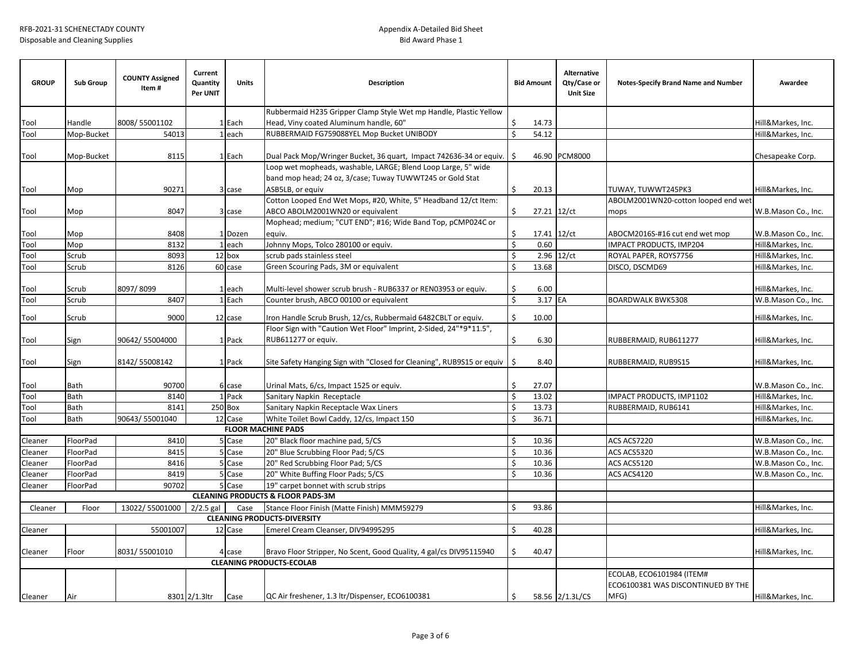| <b>GROUP</b>                                                                                     | <b>Sub Group</b>     | <b>COUNTY Assigned</b><br>Item# | Current<br>Quantity<br>Per UNIT | Units            | <b>Description</b>                                                                        |               | <b>Bid Amount</b> | Alternative<br>Qty/Case or<br><b>Unit Size</b> | Notes-Specify Brand Name and Number                             | Awardee                                    |
|--------------------------------------------------------------------------------------------------|----------------------|---------------------------------|---------------------------------|------------------|-------------------------------------------------------------------------------------------|---------------|-------------------|------------------------------------------------|-----------------------------------------------------------------|--------------------------------------------|
|                                                                                                  |                      |                                 |                                 |                  | Rubbermaid H235 Gripper Clamp Style Wet mp Handle, Plastic Yellow                         |               |                   |                                                |                                                                 |                                            |
| Tool                                                                                             | Handle               | 8008/55001102                   |                                 | 1 Each           | Head, Viny coated Aluminum handle, 60"                                                    | \$            | 14.73             |                                                |                                                                 | Hill&Markes, Inc.                          |
| Tool                                                                                             | Mop-Bucket           | 54013                           |                                 | 1 each           | RUBBERMAID FG759088YEL Mop Bucket UNIBODY                                                 | Ś.            | 54.12             |                                                |                                                                 | Hill&Markes, Inc.                          |
|                                                                                                  |                      |                                 |                                 |                  |                                                                                           |               |                   |                                                |                                                                 |                                            |
| Tool                                                                                             | Mop-Bucket           | 8115                            |                                 | 1 Each           | Dual Pack Mop/Wringer Bucket, 36 quart, Impact 742636-34 or equiv.                        | S.            | 46.90             | <b>PCM8000</b>                                 |                                                                 | Chesapeake Corp.                           |
|                                                                                                  |                      |                                 |                                 |                  | Loop wet mopheads, washable, LARGE; Blend Loop Large, 5" wide                             |               |                   |                                                |                                                                 |                                            |
|                                                                                                  |                      |                                 |                                 |                  | band mop head; 24 oz, 3/case; Tuway TUWWT245 or Gold Stat                                 |               |                   |                                                |                                                                 |                                            |
| Tool                                                                                             | Mop                  | 90271                           |                                 | 3 case           | ASB5LB, or equiv                                                                          | Ś.            | 20.13             |                                                | TUWAY, TUWWT245PK3                                              | Hill&Markes, Inc.                          |
|                                                                                                  |                      |                                 |                                 |                  | Cotton Looped End Wet Mops, #20, White, 5" Headband 12/ct Item:                           |               |                   |                                                | ABOLM2001WN20-cotton looped end wet                             |                                            |
| Tool                                                                                             | Mop                  | 8047                            |                                 | 3 case           | ABCO ABOLM2001WN20 or equivalent                                                          | Ś.            | 27.21 12/ct       |                                                | mops                                                            | W.B.Mason Co., Inc.                        |
|                                                                                                  |                      |                                 |                                 |                  | Mophead; medium; "CUT END"; #16; Wide Band Top, pCMP024C or                               |               |                   |                                                |                                                                 |                                            |
| Tool                                                                                             | Mop                  | 8408                            |                                 | 1 Dozen          | equiv.                                                                                    | Ś             | 17.41 12/ct       |                                                | ABOCM2016S-#16 cut end wet mop                                  | W.B.Mason Co., Inc.                        |
| Tool                                                                                             | Mop                  | 8132                            |                                 | 1 each           | Johnny Mops, Tolco 280100 or equiv.                                                       | Ś.            | 0.60              |                                                | <b>IMPACT PRODUCTS, IMP204</b>                                  | Hill&Markes, Inc.                          |
| Tool                                                                                             | Scrub                | 8093                            |                                 | 12 box           | scrub pads stainless steel                                                                | \$<br>$\zeta$ | 2.96              | 12/ct                                          | ROYAL PAPER, ROYS7756                                           | Hill&Markes, Inc.                          |
| Tool                                                                                             | Scrub                | 8126                            |                                 | 60 case          | Green Scouring Pads, 3M or equivalent                                                     |               | 13.68             |                                                | DISCO, DSCMD69                                                  | Hill&Markes, Inc.                          |
|                                                                                                  |                      |                                 |                                 |                  |                                                                                           | Ś             |                   |                                                |                                                                 |                                            |
| Tool                                                                                             | Scrub<br>Scrub       | 8097/8099<br>8407               |                                 | 1 each<br>1 Each | Multi-level shower scrub brush - RUB6337 or REN03953 or equiv.                            | Ś             | 6.00<br>3.17 EA   |                                                | <b>BOARDWALK BWK5308</b>                                        | Hill&Markes, Inc.                          |
| Tool                                                                                             |                      |                                 |                                 |                  | Counter brush, ABCO 00100 or equivalent                                                   |               |                   |                                                |                                                                 | W.B.Mason Co., Inc.                        |
| Tool                                                                                             | Scrub                | 9000                            |                                 | 12 case          | Iron Handle Scrub Brush, 12/cs, Rubbermaid 6482CBLT or equiv.                             | Ś.            | 10.00             |                                                |                                                                 | Hill&Markes, Inc.                          |
| Tool                                                                                             | Sign                 | 90642/55004000                  |                                 | 1 Pack           | Floor Sign with "Caution Wet Floor" Imprint, 2-Sided, 24"*9*11.5",<br>RUB611277 or equiv. | Ŝ.            | 6.30              |                                                | RUBBERMAID, RUB611277                                           | Hill&Markes, Inc.                          |
| Tool                                                                                             | Sign                 | 8142/55008142                   |                                 | 1 Pack           | Site Safety Hanging Sign with "Closed for Cleaning", RUB9S15 or equiv                     | l\$           | 8.40              |                                                | RUBBERMAID, RUB9S15                                             | Hill&Markes, Inc.                          |
| Tool                                                                                             | Bath                 | 90700                           |                                 | 6 case           | Urinal Mats, 6/cs, Impact 1525 or equiv.                                                  | Ś             | 27.07             |                                                |                                                                 | W.B.Mason Co., Inc.                        |
| Tool                                                                                             | Bath                 | 8140                            |                                 | 1 Pack           | Sanitary Napkin Receptacle                                                                | Ś             | 13.02             |                                                | IMPACT PRODUCTS, IMP1102                                        | Hill&Markes, Inc.                          |
| Tool                                                                                             | <b>Bath</b>          | 8141                            |                                 | 250 Box          | Sanitary Napkin Receptacle Wax Liners                                                     | Ś             | 13.73             |                                                | RUBBERMAID, RUB6141                                             | Hill&Markes, Inc.                          |
| Tool                                                                                             | <b>Bath</b>          | 90643/55001040                  |                                 | 12 Case          | White Toilet Bowl Caddy, 12/cs, Impact 150                                                | Ś             | 36.71             |                                                |                                                                 | Hill&Markes, Inc.                          |
|                                                                                                  |                      |                                 |                                 |                  | <b>FLOOR MACHINE PADS</b>                                                                 |               |                   |                                                |                                                                 |                                            |
| Cleaner                                                                                          | FloorPad             | 8410<br>8415                    |                                 | 5 Case           | 20" Black floor machine pad, 5/CS                                                         | \$<br>Ś.      | 10.36             |                                                | ACS ACS7220                                                     | W.B.Mason Co., Inc.                        |
| Cleaner<br>Cleaner                                                                               | FloorPad<br>FloorPad | 8416                            |                                 | 5 Case<br>5 Case | 20" Blue Scrubbing Floor Pad; 5/CS<br>20" Red Scrubbing Floor Pad; 5/CS                   | Ś             | 10.36<br>10.36    |                                                | ACS ACS5320<br>ACS ACS5120                                      | W.B.Mason Co., Inc.                        |
| Cleaner                                                                                          | FloorPad             | 8419                            |                                 | 5 Case           | 20" White Buffing Floor Pads; 5/CS                                                        | Ś             | 10.36             |                                                | ACS ACS4120                                                     | W.B.Mason Co., Inc.<br>W.B.Mason Co., Inc. |
| Cleaner                                                                                          | FloorPad             | 90702                           |                                 | 5 Case           | 19" carpet bonnet with scrub strips                                                       |               |                   |                                                |                                                                 |                                            |
|                                                                                                  |                      |                                 |                                 |                  | <b>CLEANING PRODUCTS &amp; FLOOR PADS-3M</b>                                              |               |                   |                                                |                                                                 |                                            |
| Cleaner                                                                                          | Floor                | 13022/55001000                  |                                 | Case             |                                                                                           | Ś             | 93.86             |                                                |                                                                 | Hill&Markes, Inc.                          |
| $2/2.5$ gal<br>Stance Floor Finish (Matte Finish) MMM59279<br><b>CLEANING PRODUCTS-DIVERSITY</b> |                      |                                 |                                 |                  |                                                                                           |               |                   |                                                |                                                                 |                                            |
| Cleaner                                                                                          |                      | 55001007                        |                                 | 12 Case          | Emerel Cream Cleanser, DIV94995295                                                        | Ś.            | 40.28             |                                                |                                                                 | Hill&Markes, Inc.                          |
|                                                                                                  |                      |                                 |                                 |                  |                                                                                           |               |                   |                                                |                                                                 |                                            |
| Cleaner                                                                                          | Floor                | 8031/55001010                   |                                 | 4 case           | Bravo Floor Stripper, No Scent, Good Quality, 4 gal/cs DIV95115940                        | Ś.            | 40.47             |                                                |                                                                 | Hill&Markes, Inc.                          |
|                                                                                                  |                      |                                 |                                 |                  | <b>CLEANING PRODUCTS-ECOLAB</b>                                                           |               |                   |                                                |                                                                 |                                            |
|                                                                                                  |                      |                                 |                                 |                  |                                                                                           |               |                   |                                                | ECOLAB, ECO6101984 (ITEM#<br>ECO6100381 WAS DISCONTINUED BY THE |                                            |
| Cleaner                                                                                          | Air                  |                                 | 8301 2/1.3ltr                   | Case             | QC Air freshener, 1.3 ltr/Dispenser, ECO6100381                                           | \$            |                   | 58.56 2/1.3L/CS                                | MFG)                                                            | Hill&Markes, Inc.                          |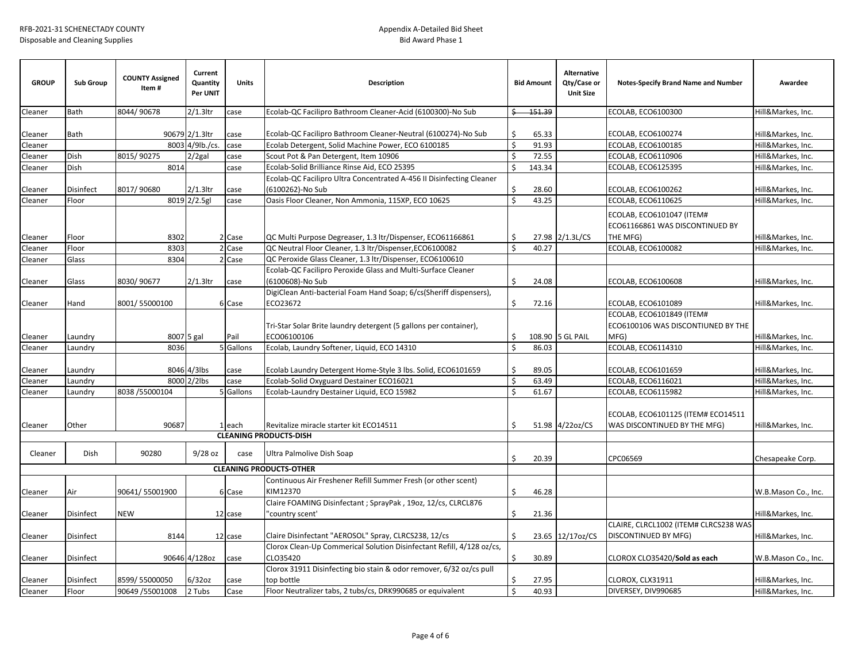| <b>GROUP</b>       | <b>Sub Group</b> | <b>COUNTY Assigned</b><br>Item# | Current<br>Quantity<br>Per UNIT | <b>Units</b>   | <b>Description</b>                                                                                                                           |         | <b>Bid Amount</b> | <b>Alternative</b><br>Qty/Case or<br><b>Unit Size</b> | <b>Notes-Specify Brand Name and Number</b>                               | Awardee             |
|--------------------|------------------|---------------------------------|---------------------------------|----------------|----------------------------------------------------------------------------------------------------------------------------------------------|---------|-------------------|-------------------------------------------------------|--------------------------------------------------------------------------|---------------------|
| Cleaner            | Bath             | 8044/90678                      | $2/1.3$ ltr                     | case           | Ecolab-QC Facilipro Bathroom Cleaner-Acid (6100300)-No Sub                                                                                   | Ś.      | 151.39            |                                                       | ECOLAB, ECO6100300                                                       | Hill&Markes, Inc.   |
| Cleaner            | Bath             |                                 | 90679 2/1.3ltr                  | case           | Ecolab-QC Facilipro Bathroom Cleaner-Neutral (6100274)-No Sub                                                                                | \$      | 65.33             |                                                       | ECOLAB, ECO6100274                                                       | Hill&Markes, Inc.   |
| Cleaner            |                  |                                 | 8003 4/9lb./cs.                 | case           | Ecolab Detergent, Solid Machine Power, ECO 6100185                                                                                           | \$      | 91.93             |                                                       | ECOLAB, ECO6100185                                                       | Hill&Markes, Inc.   |
| Cleaner            | Dish             | 8015/90275                      | $2/2$ gal                       | case           | Scout Pot & Pan Detergent, Item 10906                                                                                                        | \$      | 72.55             |                                                       | ECOLAB, ECO6110906                                                       | Hill&Markes, Inc.   |
| Cleaner            | <b>Dish</b>      | 8014                            |                                 | case           | Ecolab-Solid Brilliance Rinse Aid, ECO 25395                                                                                                 | Ŝ.      | 143.34            |                                                       | ECOLAB, ECO6125395                                                       | Hill&Markes, Inc.   |
| Cleaner            | <b>Disinfect</b> | 8017/90680                      | $2/1.3$ ltr                     | case           | Ecolab-QC Facilipro Ultra Concentrated A-456 II Disinfecting Cleaner<br>(6100262)-No Sub                                                     | Ŝ.      | 28.60             |                                                       | ECOLAB, ECO6100262                                                       | Hill&Markes, Inc.   |
| Cleaner            | Floor            |                                 | 8019 2/2.5gl                    | case           | Oasis Floor Cleaner, Non Ammonia, 115XP, ECO 10625                                                                                           | \$      | 43.25             |                                                       | ECOLAB, ECO6110625                                                       | Hill&Markes, Inc.   |
| Cleaner            | Floor            | 8302                            |                                 | 2 Case         | QC Multi Purpose Degreaser, 1.3 ltr/Dispenser, ECO61166861                                                                                   | Ś       |                   | 27.98 2/1.3L/CS                                       | ECOLAB, ECO6101047 (ITEM#<br>ECO61166861 WAS DISCONTINUED BY<br>THE MFG) | Hill&Markes, Inc.   |
| Cleaner            | Floor            | 8303                            |                                 | 2 Case         | QC Neutral Floor Cleaner, 1.3 ltr/Dispenser, ECO6100082                                                                                      | $\zeta$ | 40.27             |                                                       | ECOLAB, ECO6100082                                                       | Hill&Markes, Inc.   |
| Cleaner<br>Cleaner | Glass<br>Glass   | 8304<br>8030/90677              | $2/1.3$ ltr                     | 2 Case<br>case | QC Peroxide Glass Cleaner, 1.3 ltr/Dispenser, ECO6100610<br>Ecolab-QC Facilipro Peroxide Glass and Multi-Surface Cleaner<br>(6100608)-No Sub | Ŝ.      | 24.08             |                                                       | ECOLAB, ECO6100608                                                       | Hill&Markes, Inc.   |
| Cleaner            | Hand             | 8001/55000100                   |                                 | 6 Case         | DigiClean Anti-bacterial Foam Hand Soap; 6/cs(Sheriff dispensers),<br>ECO23672                                                               | \$      | 72.16             |                                                       | ECOLAB, ECO6101089                                                       | Hill&Markes, Inc.   |
| Cleaner            | Laundry          |                                 | 8007 5 gal                      | Pail           | Tri-Star Solar Brite laundry detergent (5 gallons per container),<br>ECO06100106                                                             | \$      |                   | 108.90 5 GL PAIL                                      | ECOLAB, ECO6101849 (ITEM#<br>ECO6100106 WAS DISCONTIUNED BY THE<br>MFG)  | Hill&Markes, Inc.   |
| Cleaner            | Laundry          | 8036                            |                                 | 5 Gallons      | Ecolab, Laundry Softener, Liquid, ECO 14310                                                                                                  | Ŝ.      | 86.03             |                                                       | ECOLAB, ECO6114310                                                       | Hill&Markes, Inc.   |
| Cleaner            | Laundry          |                                 | 8046 4/3lbs                     | case           | Ecolab Laundry Detergent Home-Style 3 lbs. Solid, ECO6101659                                                                                 | Ŝ.      | 89.05             |                                                       | ECOLAB, ECO6101659                                                       | Hill&Markes, Inc.   |
| Cleaner            | Laundry          |                                 | 8000 2/2lbs                     | case           | Ecolab-Solid Oxyguard Destainer ECO16021                                                                                                     | Ś       | 63.49             |                                                       | ECOLAB, ECO6116021                                                       | Hill&Markes, Inc.   |
| Cleaner            | Laundry          | 8038 / 55000104                 |                                 | 5 Gallons      | Ecolab-Laundry Destainer Liquid, ECO 15982                                                                                                   | Ŝ.      | 61.67             |                                                       | <b>ECOLAB, ECO6115982</b>                                                | Hill&Markes, Inc.   |
| Cleaner            | Other            | 90687                           |                                 | 1 each         | Revitalize miracle starter kit ECO14511<br><b>CLEANING PRODUCTS-DISH</b>                                                                     | Ŝ.      |                   | 51.98 4/22oz/CS                                       | ECOLAB, ECO6101125 (ITEM# ECO14511<br>WAS DISCONTINUED BY THE MFG)       | Hill&Markes, Inc.   |
|                    |                  |                                 |                                 |                |                                                                                                                                              |         |                   |                                                       |                                                                          |                     |
| Cleaner            | Dish             | 90280                           | $9/28$ oz                       | case           | Ultra Palmolive Dish Soap                                                                                                                    | Ŝ.      | 20.39             |                                                       | CPC06569                                                                 | Chesapeake Corp.    |
|                    |                  |                                 |                                 |                | <b>CLEANING PRODUCTS-OTHER</b>                                                                                                               |         |                   |                                                       |                                                                          |                     |
|                    |                  |                                 |                                 |                | Continuous Air Freshener Refill Summer Fresh (or other scent)                                                                                |         |                   |                                                       |                                                                          |                     |
| Cleaner            | Air              | 90641/55001900                  |                                 | 6 Case         | KIM12370                                                                                                                                     | Ś.      | 46.28             |                                                       |                                                                          | W.B.Mason Co., Inc. |
|                    |                  |                                 |                                 |                | Claire FOAMING Disinfectant ; SprayPak, 19oz, 12/cs, CLRCL876                                                                                |         |                   |                                                       |                                                                          |                     |
| Cleaner            | <b>Disinfect</b> | <b>NEW</b>                      |                                 | 12 case        | 'country scent'                                                                                                                              | \$      | 21.36             |                                                       |                                                                          | Hill&Markes, Inc.   |
|                    |                  |                                 |                                 |                |                                                                                                                                              |         |                   |                                                       | CLAIRE, CLRCL1002 (ITEM# CLRCS238 WAS                                    |                     |
| Cleaner            | Disinfect        | 8144                            |                                 | 12 case        | Claire Disinfectant "AEROSOL" Spray, CLRCS238, 12/cs                                                                                         | \$      |                   | 23.65 12/17oz/CS                                      | DISCONTINUED BY MFG)                                                     | Hill&Markes, Inc.   |
|                    |                  |                                 |                                 |                | Clorox Clean-Up Commerical Solution Disinfectant Refill, 4/128 oz/cs,                                                                        |         |                   |                                                       |                                                                          |                     |
| Cleaner            | Disinfect        |                                 | 90646 4/128oz                   | case           | CLO35420                                                                                                                                     | \$      | 30.89             |                                                       | CLOROX CLO35420/Sold as each                                             | W.B.Mason Co., Inc. |
|                    |                  |                                 |                                 |                | Clorox 31911 Disinfecting bio stain & odor remover, 6/32 oz/cs pull                                                                          |         |                   |                                                       |                                                                          |                     |
| Cleaner            | <b>Disinfect</b> | 8599/55000050                   | $6/32$ oz                       | case           | top bottle                                                                                                                                   | \$.     | 27.95             |                                                       | CLOROX, CLX31911                                                         | Hill&Markes, Inc.   |
| Cleaner            | Floor            | 90649 / 55001008                | 2 Tubs                          | Case           | Floor Neutralizer tabs, 2 tubs/cs, DRK990685 or equivalent                                                                                   | Ś       | 40.93             |                                                       | DIVERSEY, DIV990685                                                      | Hill&Markes, Inc.   |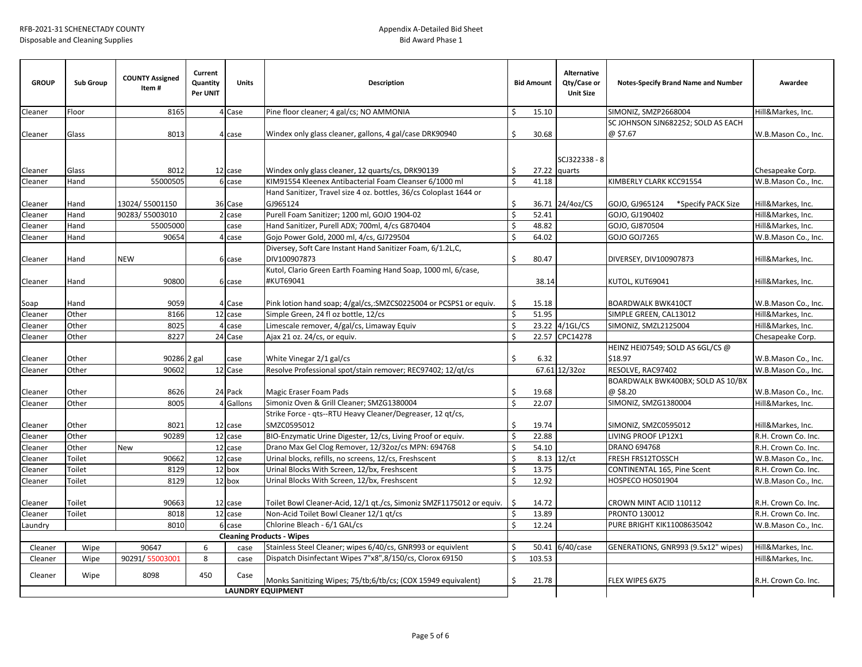| <b>GROUP</b>             | <b>Sub Group</b> | <b>COUNTY Assigned</b><br>Item# | Current<br>Quantity<br>Per UNIT | <b>Units</b> | <b>Description</b>                                                             |         | <b>Bid Amount</b> | <b>Alternative</b><br>Qty/Case or<br><b>Unit Size</b> | <b>Notes-Specify Brand Name and Number</b>   | Awardee             |
|--------------------------|------------------|---------------------------------|---------------------------------|--------------|--------------------------------------------------------------------------------|---------|-------------------|-------------------------------------------------------|----------------------------------------------|---------------------|
| Cleaner                  | Floor            | 8165                            |                                 | 4 Case       | Pine floor cleaner; 4 gal/cs; NO AMMONIA                                       | Ś.      | 15.10             |                                                       | SIMONIZ, SMZP2668004                         | Hill&Markes, Inc.   |
|                          |                  |                                 |                                 |              |                                                                                |         |                   |                                                       | SC JOHNSON SJN682252; SOLD AS EACH           |                     |
| Cleaner                  | Glass            | 8013                            |                                 | 4 case       | Windex only glass cleaner, gallons, 4 gal/case DRK90940                        | \$      | 30.68             |                                                       | @ \$7.67                                     | W.B.Mason Co., Inc. |
| Cleaner                  | Glass            | 8012                            |                                 | 12 case      | Windex only glass cleaner, 12 quarts/cs, DRK90139                              | \$      |                   | SCJ322338 - 8<br>27.22 quarts                         |                                              | Chesapeake Corp.    |
| Cleaner                  | Hand             | 55000505                        |                                 | 6 case       | KIM91554 Kleenex Antibacterial Foam Cleanser 6/1000 ml                         | Ś.      | 41.18             |                                                       | KIMBERLY CLARK KCC91554                      | W.B.Mason Co., Inc. |
| Cleaner                  | Hand             | 13024/55001150                  |                                 | 36 Case      | Hand Sanitizer, Travel size 4 oz. bottles, 36/cs Coloplast 1644 or<br>GJ965124 | \$      |                   | 36.71 24/4oz/CS                                       | GOJO, GJ965124<br>*Specify PACK Size         | Hill&Markes, Inc.   |
| Cleaner                  | Hand             | 90283/55003010                  |                                 | 2 case       | Purell Foam Sanitizer; 1200 ml, GOJO 1904-02                                   | Ŝ.      | 52.41             |                                                       | GOJO, GJ190402                               | Hill&Markes, Inc.   |
| Cleaner                  | Hand             | 55005000                        |                                 | case         | Hand Sanitizer, Purell ADX; 700ml, 4/cs G870404                                | Ŝ.      | 48.82             |                                                       | GOJO, GJ870504                               | Hill&Markes, Inc.   |
| Cleaner                  | Hand             | 90654                           |                                 | 4 case       | Gojo Power Gold, 2000 ml, 4/cs, GJ729504                                       | $\zeta$ | 64.02             |                                                       | GOJO GOJ7265                                 | W.B.Mason Co., Inc. |
| Cleaner                  | Hand             | <b>NEW</b>                      |                                 | 6 case       | Diversey, Soft Care Instant Hand Sanitizer Foam, 6/1.2L,C,<br>DIV100907873     | Ŝ.      | 80.47             |                                                       | DIVERSEY, DIV100907873                       | Hill&Markes, Inc.   |
| Cleaner                  | Hand             | 90800                           |                                 | 6 case       | Kutol, Clario Green Earth Foaming Hand Soap, 1000 ml, 6/case,<br>#KUT69041     |         | 38.14             |                                                       | KUTOL, KUT69041                              | Hill&Markes, Inc.   |
| Soap                     | Hand             | 9059                            |                                 | 4 Case       | Pink lotion hand soap; 4/gal/cs,:SMZCS0225004 or PCSPS1 or equiv.              | \$      | 15.18             |                                                       | <b>BOARDWALK BWK410CT</b>                    | W.B.Mason Co., Inc. |
| Cleaner                  | Other            | 8166                            |                                 | 12 case      | Simple Green, 24 fl oz bottle, 12/cs                                           | \$      | 51.95             |                                                       | SIMPLE GREEN, CAL13012                       | Hill&Markes, Inc.   |
| Cleaner                  | Other            | 8025                            |                                 | 4 case       | Limescale remover, 4/gal/cs, Limaway Equiv                                     | \$      |                   | 23.22 4/1GL/CS                                        | SIMONIZ, SMZL2125004                         | Hill&Markes, Inc.   |
| Cleaner                  | Other            | 8227                            |                                 | 24 Case      | Ajax 21 oz. 24/cs, or equiv.                                                   | $\zeta$ |                   | 22.57 CPC14278                                        |                                              | Chesapeake Corp.    |
| Cleaner                  | Other            | 90286 2 gal                     |                                 | case         | White Vinegar 2/1 gal/cs                                                       | Ś.      | 6.32              |                                                       | HEINZ HEI07549; SOLD AS 6GL/CS @<br>\$18.97  | W.B.Mason Co., Inc. |
| Cleaner                  | Other            | 90602                           |                                 | 12 Case      | Resolve Professional spot/stain remover; REC97402; 12/qt/cs                    |         |                   | 67.61 12/32oz                                         | RESOLVE, RAC97402                            | W.B.Mason Co., Inc. |
| Cleaner                  | Other            | 8626                            |                                 | 24 Pack      | Magic Eraser Foam Pads                                                         | Ŝ.      | 19.68             |                                                       | BOARDWALK BWK400BX; SOLD AS 10/BX<br>@\$8.20 | W.B.Mason Co., Inc. |
| Cleaner                  | Other            | 8005                            |                                 | 4 Gallons    | Simoniz Oven & Grill Cleaner; SMZG1380004                                      | \$      | 22.07             |                                                       | SIMONIZ, SMZG1380004                         | Hill&Markes, Inc.   |
| Cleaner                  | Other            | 8021                            |                                 | 12 case      | Strike Force - qts--RTU Heavy Cleaner/Degreaser, 12 qt/cs,<br>SMZC0595012      | Ŝ.      | 19.74             |                                                       | SIMONIZ, SMZC0595012                         | Hill&Markes, Inc.   |
| Cleaner                  | Other            | 90289                           |                                 | 12 case      | BIO-Enzymatic Urine Digester, 12/cs, Living Proof or equiv.                    | \$      | 22.88             |                                                       | LIVING PROOF LP12X1                          | R.H. Crown Co. Inc. |
| Cleaner                  | Other            | New                             |                                 | 12 case      | Drano Max Gel Clog Remover, 12/32oz/cs MPN: 694768                             | Ś.      | 54.10             |                                                       | DRANO 694768                                 | R.H. Crown Co. Inc. |
| Cleaner                  | Toilet           | 90662                           |                                 | 12 case      | Urinal blocks, refills, no screens, 12/cs, Freshscent                          | Ŝ.      | 8.13              | 12/ct                                                 | FRESH FRS12TOSSCH                            | W.B.Mason Co., Inc. |
| Cleaner                  | Toilet           | 8129                            |                                 | 12 box       | Urinal Blocks With Screen, 12/bx, Freshscent                                   | \$      | 13.75             |                                                       | CONTINENTAL 165, Pine Scent                  | R.H. Crown Co. Inc. |
| Cleaner                  | Toilet           | 8129                            |                                 | 12 box       | Urinal Blocks With Screen, 12/bx, Freshscent                                   | Ś       | 12.92             |                                                       | HOSPECO HOS01904                             | W.B.Mason Co., Inc. |
| Cleaner                  | Toilet           | 90663                           |                                 | 12 case      | Toilet Bowl Cleaner-Acid, 12/1 gt./cs, Simoniz SMZF1175012 or equiv.           | S.      | 14.72             |                                                       | CROWN MINT ACID 110112                       | R.H. Crown Co. Inc. |
| Cleaner                  | Toilet           | 8018                            |                                 | 12 case      | Non-Acid Toilet Bowl Cleaner 12/1 gt/cs                                        | \$      | 13.89             |                                                       | PRONTO 130012                                | R.H. Crown Co. Inc. |
| Laundry                  |                  | 8010                            |                                 | 6 case       | Chlorine Bleach - 6/1 GAL/cs                                                   | Ŝ.      | 12.24             |                                                       | PURE BRIGHT KIK11008635042                   | W.B.Mason Co., Inc. |
|                          |                  |                                 |                                 |              | <b>Cleaning Products - Wipes</b>                                               |         |                   |                                                       |                                              |                     |
| Cleaner                  | Wipe             | 90647                           | 6                               | case         | Stainless Steel Cleaner; wipes 6/40/cs, GNR993 or equivlent                    | Ś.      |                   | 50.41 6/40/case                                       | GENERATIONS, GNR993 (9.5x12" wipes)          | Hill&Markes, Inc.   |
| Cleaner                  | Wipe             | 90291/55003001                  | 8                               | case         | Dispatch Disinfectant Wipes 7"x8",8/150/cs, Clorox 69150                       | \$      | 103.53            |                                                       |                                              | Hill&Markes, Inc.   |
| Cleaner                  | Wipe             | 8098                            | 450                             | Case         | Monks Sanitizing Wipes; 75/tb;6/tb/cs; (COX 15949 equivalent)                  | \$      | 21.78             |                                                       | FLEX WIPES 6X75                              | R.H. Crown Co. Inc. |
| <b>LAUNDRY EQUIPMENT</b> |                  |                                 |                                 |              |                                                                                |         |                   |                                                       |                                              |                     |